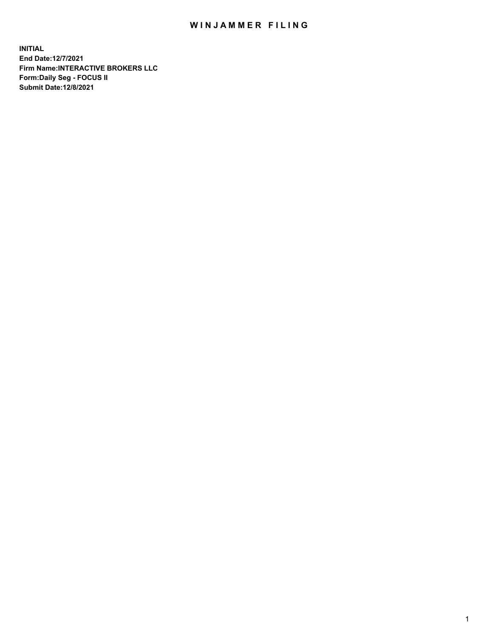## WIN JAMMER FILING

**INITIAL End Date:12/7/2021 Firm Name:INTERACTIVE BROKERS LLC Form:Daily Seg - FOCUS II Submit Date:12/8/2021**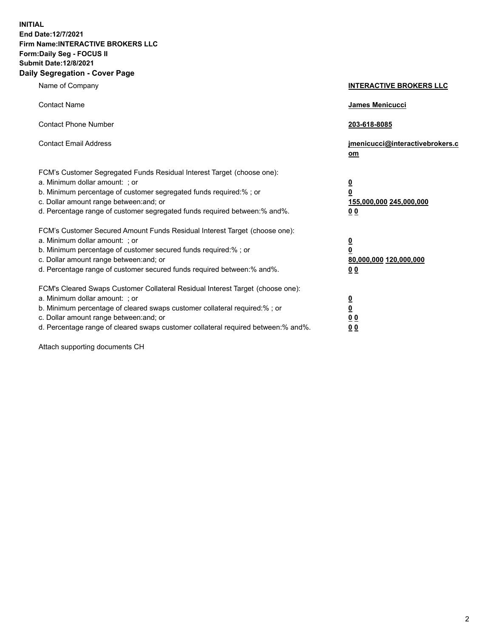**INITIAL End Date:12/7/2021 Firm Name:INTERACTIVE BROKERS LLC Form:Daily Seg - FOCUS II Submit Date:12/8/2021 Daily Segregation - Cover Page**

| Name of Company                                                                                                                                                                                                                                                                                                                | <b>INTERACTIVE BROKERS LLC</b>                                                                  |  |
|--------------------------------------------------------------------------------------------------------------------------------------------------------------------------------------------------------------------------------------------------------------------------------------------------------------------------------|-------------------------------------------------------------------------------------------------|--|
| <b>Contact Name</b>                                                                                                                                                                                                                                                                                                            | James Menicucci                                                                                 |  |
| <b>Contact Phone Number</b>                                                                                                                                                                                                                                                                                                    | 203-618-8085                                                                                    |  |
| <b>Contact Email Address</b>                                                                                                                                                                                                                                                                                                   | jmenicucci@interactivebrokers.c<br><u>om</u>                                                    |  |
| FCM's Customer Segregated Funds Residual Interest Target (choose one):<br>a. Minimum dollar amount: ; or<br>b. Minimum percentage of customer segregated funds required:% ; or<br>c. Dollar amount range between: and; or<br>d. Percentage range of customer segregated funds required between:% and%.                         | $\overline{\mathbf{0}}$<br>$\overline{\mathbf{0}}$<br>155,000,000 245,000,000<br>0 <sub>0</sub> |  |
| FCM's Customer Secured Amount Funds Residual Interest Target (choose one):<br>a. Minimum dollar amount: ; or<br>b. Minimum percentage of customer secured funds required:% ; or<br>c. Dollar amount range between: and; or<br>d. Percentage range of customer secured funds required between:% and%.                           | $\overline{\mathbf{0}}$<br>$\overline{\mathbf{0}}$<br>80,000,000 120,000,000<br>0 <sub>0</sub>  |  |
| FCM's Cleared Swaps Customer Collateral Residual Interest Target (choose one):<br>a. Minimum dollar amount: ; or<br>b. Minimum percentage of cleared swaps customer collateral required:% ; or<br>c. Dollar amount range between: and; or<br>d. Percentage range of cleared swaps customer collateral required between:% and%. | $\overline{\mathbf{0}}$<br>$\overline{\mathbf{0}}$<br>0 <sub>0</sub><br>0 <sub>0</sub>          |  |

Attach supporting documents CH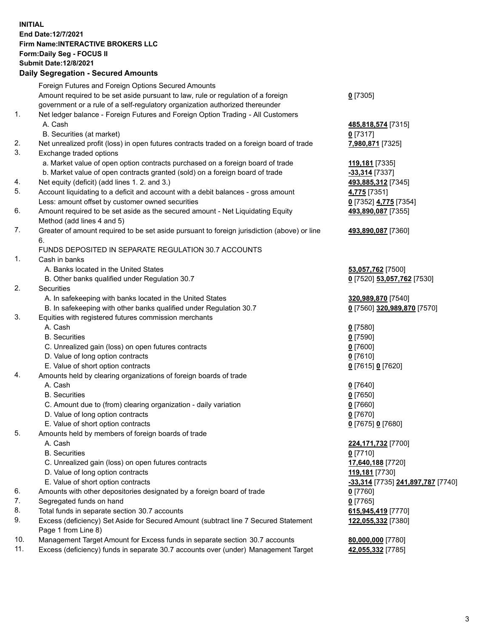**INITIAL End Date:12/7/2021 Firm Name:INTERACTIVE BROKERS LLC Form:Daily Seg - FOCUS II Submit Date:12/8/2021 Daily Segregation - Secured Amounts**

## Foreign Futures and Foreign Options Secured Amounts Amount required to be set aside pursuant to law, rule or regulation of a foreign government or a rule of a self-regulatory organization authorized thereunder **0** [7305] 1. Net ledger balance - Foreign Futures and Foreign Option Trading - All Customers A. Cash **485,818,574** [7315] B. Securities (at market) **0** [7317] 2. Net unrealized profit (loss) in open futures contracts traded on a foreign board of trade **7,980,871** [7325] 3. Exchange traded options a. Market value of open option contracts purchased on a foreign board of trade **119,181** [7335] b. Market value of open contracts granted (sold) on a foreign board of trade **-33,314** [7337] 4. Net equity (deficit) (add lines 1. 2. and 3.) **493,885,312** [7345] 5. Account liquidating to a deficit and account with a debit balances - gross amount **4,775** [7351] Less: amount offset by customer owned securities **0** [7352] **4,775** [7354] 6. Amount required to be set aside as the secured amount - Net Liquidating Equity Method (add lines 4 and 5) **493,890,087** [7355] 7. Greater of amount required to be set aside pursuant to foreign jurisdiction (above) or line 6. **493,890,087** [7360] FUNDS DEPOSITED IN SEPARATE REGULATION 30.7 ACCOUNTS 1. Cash in banks A. Banks located in the United States **53,057,762** [7500] B. Other banks qualified under Regulation 30.7 **0** [7520] **53,057,762** [7530] 2. Securities A. In safekeeping with banks located in the United States **320,989,870** [7540] B. In safekeeping with other banks qualified under Regulation 30.7 **0** [7560] **320,989,870** [7570] 3. Equities with registered futures commission merchants A. Cash **0** [7580] B. Securities **0** [7590] C. Unrealized gain (loss) on open futures contracts **0** [7600] D. Value of long option contracts **0** [7610] E. Value of short option contracts **0** [7615] **0** [7620] 4. Amounts held by clearing organizations of foreign boards of trade A. Cash **0** [7640] B. Securities **0** [7650] C. Amount due to (from) clearing organization - daily variation **0** [7660] D. Value of long option contracts **0** [7670] E. Value of short option contracts **0** [7675] **0** [7680] 5. Amounts held by members of foreign boards of trade A. Cash **224,171,732** [7700] B. Securities **0** [7710] C. Unrealized gain (loss) on open futures contracts **17,640,188** [7720] D. Value of long option contracts **119,181** [7730] E. Value of short option contracts **-33,314** [7735] **241,897,787** [7740] 6. Amounts with other depositories designated by a foreign board of trade **0** [7760] 7. Segregated funds on hand **0** [7765] 8. Total funds in separate section 30.7 accounts **615,945,419** [7770] 9. Excess (deficiency) Set Aside for Secured Amount (subtract line 7 Secured Statement Page 1 from Line 8) **122,055,332** [7380] 10. Management Target Amount for Excess funds in separate section 30.7 accounts **80,000,000** [7780] 11. Excess (deficiency) funds in separate 30.7 accounts over (under) Management Target **42,055,332** [7785]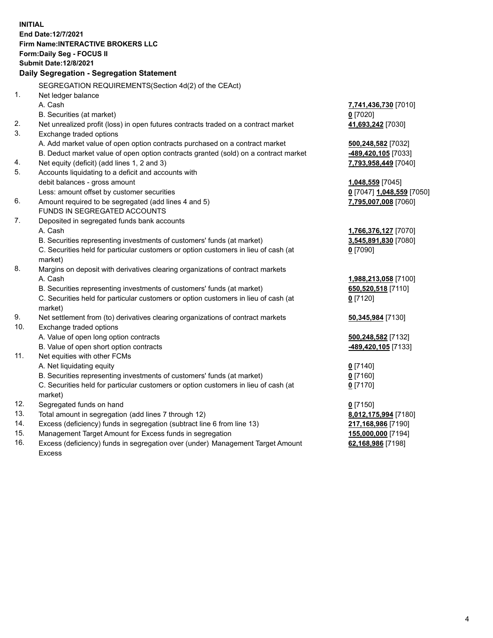**INITIAL End Date:12/7/2021 Firm Name:INTERACTIVE BROKERS LLC Form:Daily Seg - FOCUS II Submit Date:12/8/2021 Daily Segregation - Segregation Statement** SEGREGATION REQUIREMENTS(Section 4d(2) of the CEAct) 1. Net ledger balance A. Cash **7,741,436,730** [7010] B. Securities (at market) **0** [7020] 2. Net unrealized profit (loss) in open futures contracts traded on a contract market **41,693,242** [7030] 3. Exchange traded options A. Add market value of open option contracts purchased on a contract market **500,248,582** [7032] B. Deduct market value of open option contracts granted (sold) on a contract market **-489,420,105** [7033] 4. Net equity (deficit) (add lines 1, 2 and 3) **7,793,958,449** [7040] 5. Accounts liquidating to a deficit and accounts with debit balances - gross amount **1,048,559** [7045] Less: amount offset by customer securities **0** [7047] **1,048,559** [7050] 6. Amount required to be segregated (add lines 4 and 5) **7,795,007,008** [7060] FUNDS IN SEGREGATED ACCOUNTS 7. Deposited in segregated funds bank accounts A. Cash **1,766,376,127** [7070] B. Securities representing investments of customers' funds (at market) **3,545,891,830** [7080] C. Securities held for particular customers or option customers in lieu of cash (at market) **0** [7090] 8. Margins on deposit with derivatives clearing organizations of contract markets A. Cash **1,988,213,058** [7100] B. Securities representing investments of customers' funds (at market) **650,520,518** [7110] C. Securities held for particular customers or option customers in lieu of cash (at market) **0** [7120] 9. Net settlement from (to) derivatives clearing organizations of contract markets **50,345,984** [7130] 10. Exchange traded options A. Value of open long option contracts **500,248,582** [7132] B. Value of open short option contracts **-489,420,105** [7133] 11. Net equities with other FCMs A. Net liquidating equity **0** [7140] B. Securities representing investments of customers' funds (at market) **0** [7160] C. Securities held for particular customers or option customers in lieu of cash (at market) **0** [7170] 12. Segregated funds on hand **0** [7150] 13. Total amount in segregation (add lines 7 through 12) **8,012,175,994** [7180] 14. Excess (deficiency) funds in segregation (subtract line 6 from line 13) **217,168,986** [7190] 15. Management Target Amount for Excess funds in segregation **155,000,000** [7194] 16. Excess (deficiency) funds in segregation over (under) Management Target Amount **62,168,986** [7198]

Excess